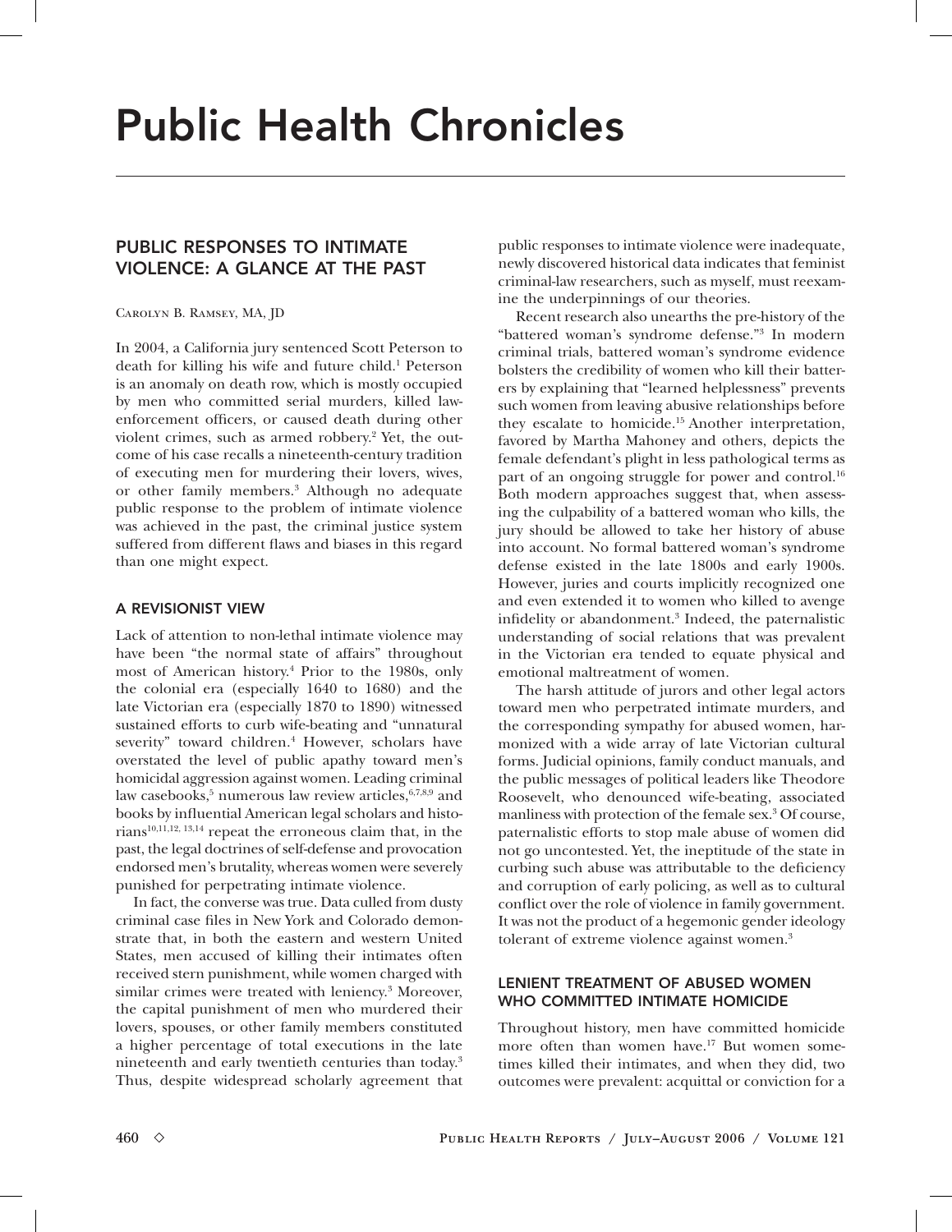# Public Health Chronicles

## PUBLIC RESPONSES TO INTIMATE VIOLENCE: A GLANCE AT THE PAST

#### Carolyn B. Ramsey, MA, JD

In 2004, a California jury sentenced Scott Peterson to death for killing his wife and future child.<sup>1</sup> Peterson is an anomaly on death row, which is mostly occupied by men who committed serial murders, killed lawenforcement officers, or caused death during other violent crimes, such as armed robbery.<sup>2</sup> Yet, the outcome of his case recalls a nineteenth-century tradition of executing men for murdering their lovers, wives, or other family members.3 Although no adequate public response to the problem of intimate violence was achieved in the past, the criminal justice system suffered from different flaws and biases in this regard than one might expect.

### A REVISIONIST VIEW

Lack of attention to non-lethal intimate violence may have been "the normal state of affairs" throughout most of American history.4 Prior to the 1980s, only the colonial era (especially 1640 to 1680) and the late Victorian era (especially 1870 to 1890) witnessed sustained efforts to curb wife-beating and "unnatural severity" toward children.<sup>4</sup> However, scholars have overstated the level of public apathy toward men's homicidal aggression against women. Leading criminal law casebooks,<sup>5</sup> numerous law review articles,  $6,7,8,9$  and books by influential American legal scholars and historians<sup>10,11,12, 13,14</sup> repeat the erroneous claim that, in the past, the legal doctrines of self-defense and provocation endorsed men's brutality, whereas women were severely punished for perpetrating intimate violence.

In fact, the converse was true. Data culled from dusty criminal case files in New York and Colorado demonstrate that, in both the eastern and western United States, men accused of killing their intimates often received stern punishment, while women charged with similar crimes were treated with leniency.<sup>3</sup> Moreover, the capital punishment of men who murdered their lovers, spouses, or other family members constituted a higher percentage of total executions in the late nineteenth and early twentieth centuries than today.3 Thus, despite widespread scholarly agreement that public responses to intimate violence were inadequate, newly discovered historical data indicates that feminist criminal-law researchers, such as myself, must reexamine the underpinnings of our theories.

Recent research also unearths the pre-history of the "battered woman's syndrome defense."3 In modern criminal trials, battered woman's syndrome evidence bolsters the credibility of women who kill their batterers by explaining that "learned helplessness" prevents such women from leaving abusive relationships before they escalate to homicide.15 Another interpretation, favored by Martha Mahoney and others, depicts the female defendant's plight in less pathological terms as part of an ongoing struggle for power and control.<sup>16</sup> Both modern approaches suggest that, when assessing the culpability of a battered woman who kills, the jury should be allowed to take her history of abuse into account. No formal battered woman's syndrome defense existed in the late 1800s and early 1900s. However, juries and courts implicitly recognized one and even extended it to women who killed to avenge infidelity or abandonment.3 Indeed, the paternalistic understanding of social relations that was prevalent in the Victorian era tended to equate physical and emotional maltreatment of women.

The harsh attitude of jurors and other legal actors toward men who perpetrated intimate murders, and the corresponding sympathy for abused women, harmonized with a wide array of late Victorian cultural forms. Judicial opinions, family conduct manuals, and the public messages of political leaders like Theodore Roosevelt, who denounced wife-beating, associated manliness with protection of the female sex.<sup>3</sup> Of course, paternalistic efforts to stop male abuse of women did not go uncontested. Yet, the ineptitude of the state in curbing such abuse was attributable to the deficiency and corruption of early policing, as well as to cultural conflict over the role of violence in family government. It was not the product of a hegemonic gender ideology tolerant of extreme violence against women.<sup>3</sup>

## LENIENT TREATMENT OF ABUSED WOMEN WHO COMMITTED INTIMATE HOMICIDE

Throughout history, men have committed homicide more often than women have.<sup>17</sup> But women sometimes killed their intimates, and when they did, two outcomes were prevalent: acquittal or conviction for a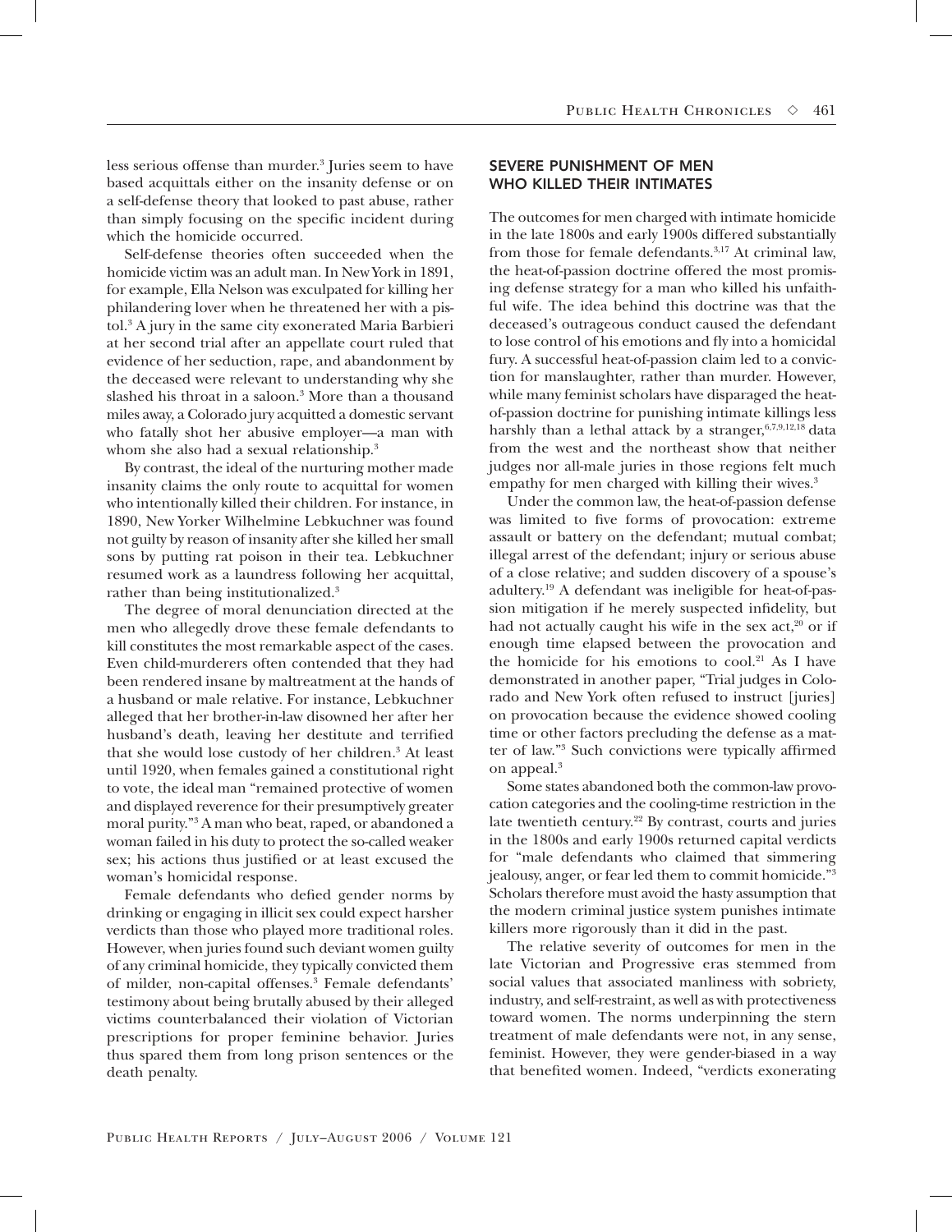less serious offense than murder.3 Juries seem to have based acquittals either on the insanity defense or on a self-defense theory that looked to past abuse, rather than simply focusing on the specific incident during which the homicide occurred.

Self-defense theories often succeeded when the homicide victim was an adult man. In New York in 1891, for example, Ella Nelson was exculpated for killing her philandering lover when he threatened her with a pistol.3 A jury in the same city exonerated Maria Barbieri at her second trial after an appellate court ruled that evidence of her seduction, rape, and abandonment by the deceased were relevant to understanding why she slashed his throat in a saloon.3 More than a thousand miles away, a Colorado jury acquitted a domestic servant who fatally shot her abusive employer—a man with whom she also had a sexual relationship.<sup>3</sup>

By contrast, the ideal of the nurturing mother made insanity claims the only route to acquittal for women who intentionally killed their children. For instance, in 1890, New Yorker Wilhelmine Lebkuchner was found not guilty by reason of insanity after she killed her small sons by putting rat poison in their tea. Lebkuchner resumed work as a laundress following her acquittal, rather than being institutionalized.<sup>3</sup>

The degree of moral denunciation directed at the men who allegedly drove these female defendants to kill constitutes the most remarkable aspect of the cases. Even child-murderers often contended that they had been rendered insane by maltreatment at the hands of a husband or male relative. For instance, Lebkuchner alleged that her brother-in-law disowned her after her husband's death, leaving her destitute and terrified that she would lose custody of her children.<sup>3</sup> At least until 1920, when females gained a constitutional right to vote, the ideal man "remained protective of women and displayed reverence for their presumptively greater moral purity."3 A man who beat, raped, or abandoned a woman failed in his duty to protect the so-called weaker sex; his actions thus justified or at least excused the woman's homicidal response.

Female defendants who defied gender norms by drinking or engaging in illicit sex could expect harsher verdicts than those who played more traditional roles. However, when juries found such deviant women guilty of any criminal homicide, they typically convicted them of milder, non-capital offenses.3 Female defendants' testimony about being brutally abused by their alleged victims counterbalanced their violation of Victorian prescriptions for proper feminine behavior. Juries thus spared them from long prison sentences or the death penalty.

## SEVERE PUNISHMENT OF MEN WHO KILLED THEIR INTIMATES

The outcomes for men charged with intimate homicide in the late 1800s and early 1900s differed substantially from those for female defendants.3,17 At criminal law, the heat-of-passion doctrine offered the most promising defense strategy for a man who killed his unfaithful wife. The idea behind this doctrine was that the deceased's outrageous conduct caused the defendant to lose control of his emotions and fly into a homicidal fury. A successful heat-of-passion claim led to a conviction for manslaughter, rather than murder. However, while many feminist scholars have disparaged the heatof-passion doctrine for punishing intimate killings less harshly than a lethal attack by a stranger, 6,7,9,12,18 data from the west and the northeast show that neither judges nor all-male juries in those regions felt much empathy for men charged with killing their wives.<sup>3</sup>

Under the common law, the heat-of-passion defense was limited to five forms of provocation: extreme assault or battery on the defendant; mutual combat; illegal arrest of the defendant; injury or serious abuse of a close relative; and sudden discovery of a spouse's adultery.19 A defendant was ineligible for heat-of-passion mitigation if he merely suspected infidelity, but had not actually caught his wife in the sex  $act<sub>20</sub>$  or if enough time elapsed between the provocation and the homicide for his emotions to cool.<sup>21</sup> As I have demonstrated in another paper, "Trial judges in Colorado and New York often refused to instruct [juries] on provocation because the evidence showed cooling time or other factors precluding the defense as a matter of law."3 Such convictions were typically affirmed on appeal.3

Some states abandoned both the common-law provocation categories and the cooling-time restriction in the late twentieth century.<sup>22</sup> By contrast, courts and juries in the 1800s and early 1900s returned capital verdicts for "male defendants who claimed that simmering jealousy, anger, or fear led them to commit homicide."3 Scholars therefore must avoid the hasty assumption that the modern criminal justice system punishes intimate killers more rigorously than it did in the past.

The relative severity of outcomes for men in the late Victorian and Progressive eras stemmed from social values that associated manliness with sobriety, industry, and self-restraint, as well as with protectiveness toward women. The norms underpinning the stern treatment of male defendants were not, in any sense, feminist. However, they were gender-biased in a way that benefited women. Indeed, "verdicts exonerating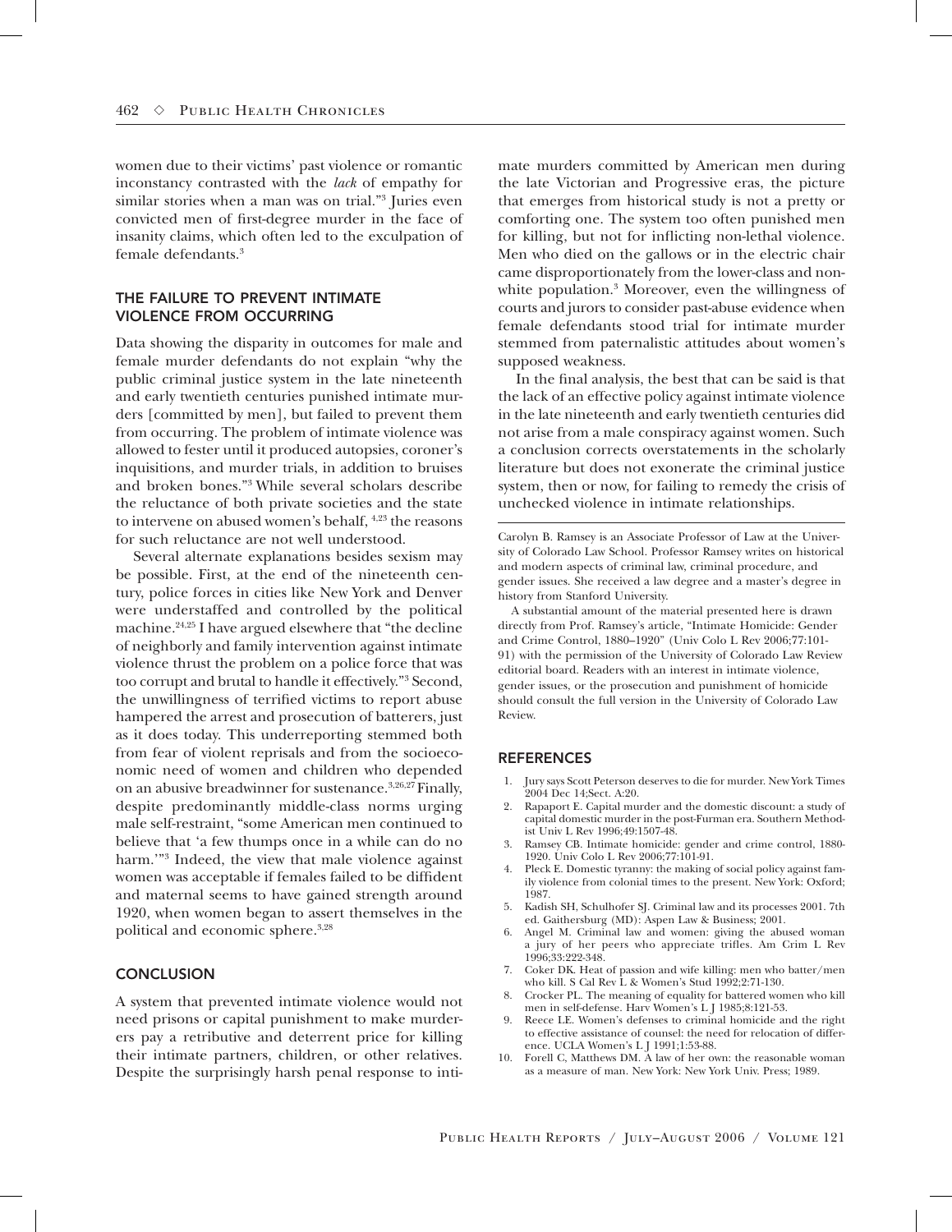women due to their victims' past violence or romantic inconstancy contrasted with the *lack* of empathy for similar stories when a man was on trial."<sup>3</sup> Juries even convicted men of first-degree murder in the face of insanity claims, which often led to the exculpation of female defendants.3

#### THE FAILURE TO PREVENT INTIMATE VIOLENCE FROM OCCURRING

Data showing the disparity in outcomes for male and female murder defendants do not explain "why the public criminal justice system in the late nineteenth and early twentieth centuries punished intimate murders [committed by men], but failed to prevent them from occurring. The problem of intimate violence was allowed to fester until it produced autopsies, coroner's inquisitions, and murder trials, in addition to bruises and broken bones."3 While several scholars describe the reluctance of both private societies and the state to intervene on abused women's behalf, 4,23 the reasons for such reluctance are not well understood.

Several alternate explanations besides sexism may be possible. First, at the end of the nineteenth century, police forces in cities like New York and Denver were understaffed and controlled by the political machine.24,25 I have argued elsewhere that "the decline of neighborly and family intervention against intimate violence thrust the problem on a police force that was too corrupt and brutal to handle it effectively."3 Second, the unwillingness of terrified victims to report abuse hampered the arrest and prosecution of batterers, just as it does today. This underreporting stemmed both from fear of violent reprisals and from the socioeconomic need of women and children who depended on an abusive breadwinner for sustenance.<sup>3,26,27</sup> Finally, despite predominantly middle-class norms urging male self-restraint, "some American men continued to believe that 'a few thumps once in a while can do no harm."<sup>3</sup> Indeed, the view that male violence against women was acceptable if females failed to be diffident and maternal seems to have gained strength around 1920, when women began to assert themselves in the political and economic sphere.<sup>3,28</sup>

### **CONCLUSION**

A system that prevented intimate violence would not need prisons or capital punishment to make murderers pay a retributive and deterrent price for killing their intimate partners, children, or other relatives. Despite the surprisingly harsh penal response to intimate murders committed by American men during the late Victorian and Progressive eras, the picture that emerges from historical study is not a pretty or comforting one. The system too often punished men for killing, but not for inflicting non-lethal violence. Men who died on the gallows or in the electric chair came disproportionately from the lower-class and nonwhite population.<sup>3</sup> Moreover, even the willingness of courts and jurors to consider past-abuse evidence when female defendants stood trial for intimate murder stemmed from paternalistic attitudes about women's supposed weakness.

In the final analysis, the best that can be said is that the lack of an effective policy against intimate violence in the late nineteenth and early twentieth centuries did not arise from a male conspiracy against women. Such a conclusion corrects overstatements in the scholarly literature but does not exonerate the criminal justice system, then or now, for failing to remedy the crisis of unchecked violence in intimate relationships.

Carolyn B. Ramsey is an Associate Professor of Law at the University of Colorado Law School. Professor Ramsey writes on historical and modern aspects of criminal law, criminal procedure, and gender issues. She received a law degree and a master's degree in history from Stanford University.

A substantial amount of the material presented here is drawn directly from Prof. Ramsey's article, "Intimate Homicide: Gender and Crime Control, 1880–1920" (Univ Colo L Rev 2006;77:101- 91) with the permission of the University of Colorado Law Review editorial board. Readers with an interest in intimate violence, gender issues, or the prosecution and punishment of homicide should consult the full version in the University of Colorado Law Review.

#### **REFERENCES**

- 1. Jury says Scott Peterson deserves to die for murder. New York Times 2004 Dec 14;Sect. A:20.
- 2. Rapaport E. Capital murder and the domestic discount: a study of capital domestic murder in the post-Furman era. Southern Methodist Univ L Rev 1996;49:1507-48.
- 3. Ramsey CB. Intimate homicide: gender and crime control, 1880- 1920. Univ Colo L Rev 2006;77:101-91.
- Pleck E. Domestic tyranny: the making of social policy against family violence from colonial times to the present. New York: Oxford; 1987.
- 5. Kadish SH, Schulhofer SJ. Criminal law and its processes 2001. 7th ed. Gaithersburg (MD): Aspen Law & Business; 2001.
- Angel M. Criminal law and women: giving the abused woman a jury of her peers who appreciate trifles. Am Crim L Rev 1996;33:222-348.
- 7. Coker DK. Heat of passion and wife killing: men who batter/men who kill. S Cal Rev L & Women's Stud 1992;2:71-130.
- 8. Crocker PL. The meaning of equality for battered women who kill men in self-defense. Harv Women's L J 1985;8:121-53.
- 9. Reece LE. Women's defenses to criminal homicide and the right to effective assistance of counsel: the need for relocation of difference. UCLA Women's L J 1991;1:53-88.
- 10. Forell C, Matthews DM. A law of her own: the reasonable woman as a measure of man. New York: New York Univ. Press; 1989.